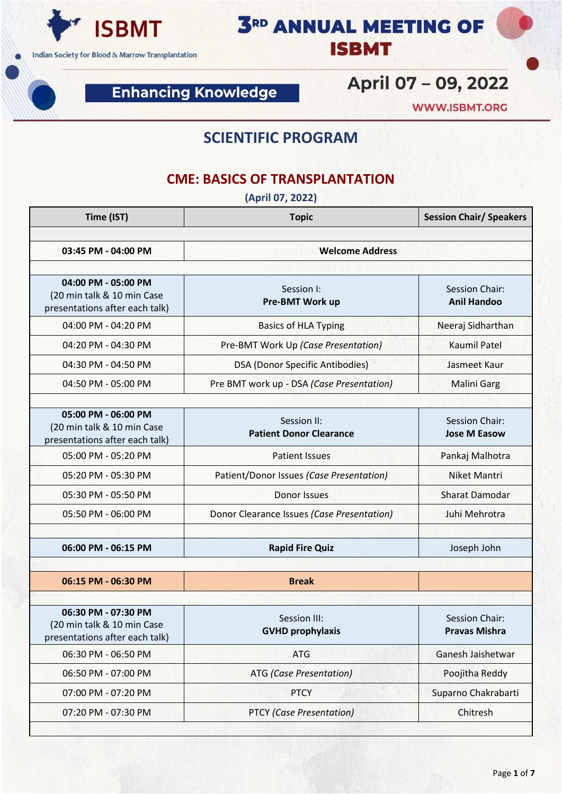

**Enhancing Knowledge** 

April 07 - 09, 2022

**3RD ANNUAL MEETING OF** 

**ISBMT** 

**WWW.ISBMT.ORG** 

### **SCIENTIFIC PROGRAM**

#### **CME: BASICS OF TRANSPLANTATION**

**(April 07, 2022)**

| Time (IST)                                                                          | <b>Topic</b>                                  | <b>Session Chair/ Speakers</b>         |  |
|-------------------------------------------------------------------------------------|-----------------------------------------------|----------------------------------------|--|
| 03:45 PM - 04:00 PM                                                                 | <b>Welcome Address</b>                        |                                        |  |
|                                                                                     |                                               |                                        |  |
| 04:00 PM - 05:00 PM<br>(20 min talk & 10 min Case<br>presentations after each talk) | Session I:<br>Pre-BMT Work up                 | Session Chair:<br><b>Anil Handoo</b>   |  |
| 04:00 PM - 04:20 PM                                                                 | <b>Basics of HLA Typing</b>                   | Neeraj Sidharthan                      |  |
| 04:20 PM - 04:30 PM                                                                 | Pre-BMT Work Up (Case Presentation)           | <b>Kaumil Patel</b>                    |  |
| 04:30 PM - 04:50 PM                                                                 | DSA (Donor Specific Antibodies)               | Jasmeet Kaur                           |  |
| 04:50 PM - 05:00 PM                                                                 | Pre BMT work up - DSA (Case Presentation)     | <b>Malini Garg</b>                     |  |
| 05:00 PM - 06:00 PM<br>(20 min talk & 10 min Case<br>presentations after each talk) | Session II:<br><b>Patient Donor Clearance</b> | Session Chair:<br><b>Jose M Easow</b>  |  |
| 05:00 PM - 05:20 PM                                                                 | <b>Patient Issues</b>                         | Pankaj Malhotra                        |  |
| 05:20 PM - 05:30 PM                                                                 | Patient/Donor Issues (Case Presentation)      | <b>Niket Mantri</b>                    |  |
| 05:30 PM - 05:50 PM                                                                 | <b>Donor Issues</b>                           | <b>Sharat Damodar</b>                  |  |
| 05:50 PM - 06:00 PM                                                                 | Donor Clearance Issues (Case Presentation)    | Juhi Mehrotra                          |  |
| 06:00 PM - 06:15 PM                                                                 | <b>Rapid Fire Quiz</b>                        | Joseph John                            |  |
| 06:15 PM - 06:30 PM                                                                 | <b>Break</b>                                  |                                        |  |
|                                                                                     |                                               |                                        |  |
| 06:30 PM - 07:30 PM<br>(20 min talk & 10 min Case<br>presentations after each talk) | Session III:<br><b>GVHD prophylaxis</b>       | Session Chair:<br><b>Pravas Mishra</b> |  |
| 06:30 PM - 06:50 PM                                                                 | <b>ATG</b>                                    | Ganesh Jaishetwar                      |  |
| 06:50 PM - 07:00 PM                                                                 | <b>ATG</b> (Case Presentation)                | Poojitha Reddy                         |  |
| 07:00 PM - 07:20 PM                                                                 | <b>PTCY</b>                                   | Suparno Chakrabarti                    |  |
| 07:20 PM - 07:30 PM                                                                 | <b>PTCY (Case Presentation)</b>               | Chitresh                               |  |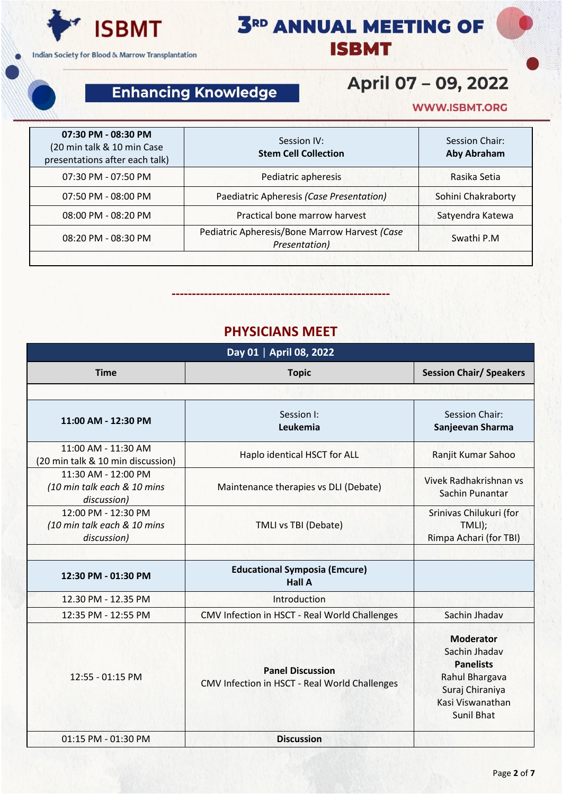

## **Enhancing Knowledge**

# April 07 - 09, 2022

**3RD ANNUAL MEETING OF** 

**ISBMT** 

#### **WWW.ISBMT.ORG**

| 07:30 PM - 08:30 PM<br>(20 min talk & 10 min Case<br>presentations after each talk) | Session IV:<br><b>Stem Cell Collection</b>                     | Session Chair:<br><b>Aby Abraham</b> |
|-------------------------------------------------------------------------------------|----------------------------------------------------------------|--------------------------------------|
| 07:30 PM - 07:50 PM                                                                 | Pediatric apheresis                                            | Rasika Setia                         |
| 07:50 PM - 08:00 PM                                                                 | Paediatric Apheresis (Case Presentation)                       | Sohini Chakraborty                   |
| 08:00 PM - 08:20 PM                                                                 | Practical bone marrow harvest                                  | Satyendra Katewa                     |
| 08:20 PM - 08:30 PM                                                                 | Pediatric Apheresis/Bone Marrow Harvest (Case<br>Presentation) | Swathi P.M                           |

#### **PHYSICIANS MEET**

**------------------------------------------------------**

| Day 01   April 08, 2022                                           |                                                                          |                                                                                                                                     |  |  |
|-------------------------------------------------------------------|--------------------------------------------------------------------------|-------------------------------------------------------------------------------------------------------------------------------------|--|--|
| <b>Time</b>                                                       | <b>Topic</b>                                                             | <b>Session Chair/ Speakers</b>                                                                                                      |  |  |
|                                                                   |                                                                          |                                                                                                                                     |  |  |
| 11:00 AM - 12:30 PM                                               | Session I:<br>Leukemia                                                   | <b>Session Chair:</b><br>Sanjeevan Sharma                                                                                           |  |  |
| 11:00 AM - 11:30 AM<br>(20 min talk & 10 min discussion)          | Haplo identical HSCT for ALL                                             | Ranjit Kumar Sahoo                                                                                                                  |  |  |
| 11:30 AM - 12:00 PM<br>(10 min talk each & 10 mins<br>discussion) | Maintenance therapies vs DLI (Debate)                                    | Vivek Radhakrishnan vs<br>Sachin Punantar                                                                                           |  |  |
| 12:00 PM - 12:30 PM<br>(10 min talk each & 10 mins<br>discussion) | <b>TMLI vs TBI (Debate)</b>                                              | Srinivas Chilukuri (for<br>TMLI);<br>Rimpa Achari (for TBI)                                                                         |  |  |
| 12:30 PM - 01:30 PM                                               | <b>Educational Symposia (Emcure)</b><br><b>Hall A</b>                    |                                                                                                                                     |  |  |
| 12.30 PM - 12.35 PM                                               | Introduction                                                             |                                                                                                                                     |  |  |
| 12:35 PM - 12:55 PM                                               | CMV Infection in HSCT - Real World Challenges                            | Sachin Jhadav                                                                                                                       |  |  |
| 12:55 - 01:15 PM                                                  | <b>Panel Discussion</b><br>CMV Infection in HSCT - Real World Challenges | <b>Moderator</b><br>Sachin Jhadav<br><b>Panelists</b><br>Rahul Bhargava<br>Suraj Chiraniya<br>Kasi Viswanathan<br><b>Sunil Bhat</b> |  |  |
| 01:15 PM - 01:30 PM                                               | <b>Discussion</b>                                                        |                                                                                                                                     |  |  |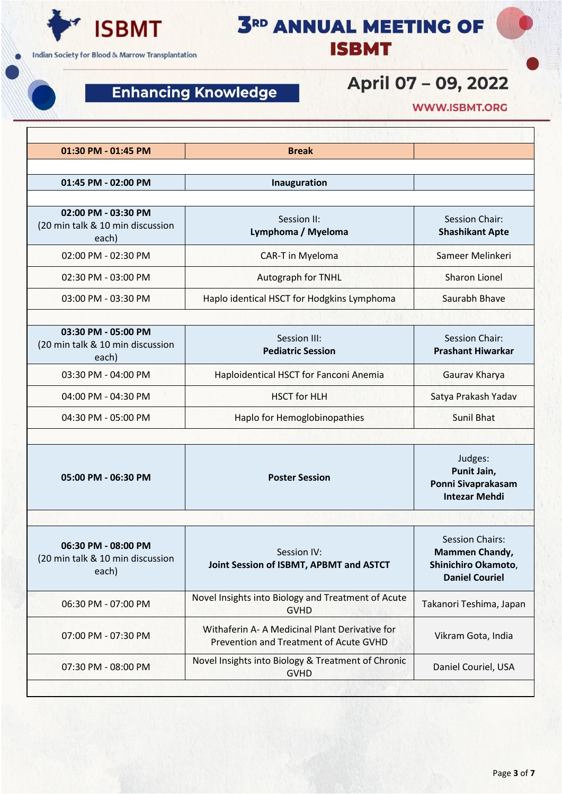

## **Enhancing Knowledge**

# April 07 - 09, 2022

**3RD ANNUAL MEETING OF** 

**ISBMT** 

**WWW.ISBMT.ORG** 

| 01:30 PM - 01:45 PM                                              | <b>Break</b>                                                                            |                                                                                                 |
|------------------------------------------------------------------|-----------------------------------------------------------------------------------------|-------------------------------------------------------------------------------------------------|
| 01:45 PM - 02:00 PM                                              | Inauguration                                                                            |                                                                                                 |
| 02:00 PM - 03:30 PM<br>(20 min talk & 10 min discussion<br>each) | Session II:<br>Lymphoma / Myeloma                                                       | Session Chair:<br><b>Shashikant Apte</b>                                                        |
| 02:00 PM - 02:30 PM                                              | <b>CAR-T</b> in Myeloma                                                                 | Sameer Melinkeri                                                                                |
| 02:30 PM - 03:00 PM                                              | Autograph for TNHL                                                                      | <b>Sharon Lionel</b>                                                                            |
| 03:00 PM - 03:30 PM                                              | Haplo identical HSCT for Hodgkins Lymphoma                                              | Saurabh Bhave                                                                                   |
| 03:30 PM - 05:00 PM<br>(20 min talk & 10 min discussion<br>each) | Session III:<br><b>Pediatric Session</b>                                                | <b>Session Chair:</b><br><b>Prashant Hiwarkar</b>                                               |
| 03:30 PM - 04:00 PM                                              | Haploidentical HSCT for Fanconi Anemia                                                  | Gaurav Kharya                                                                                   |
| 04:00 PM - 04:30 PM                                              | <b>HSCT for HLH</b>                                                                     | Satya Prakash Yadav                                                                             |
| 04:30 PM - 05:00 PM                                              | Haplo for Hemoglobinopathies                                                            | <b>Sunil Bhat</b>                                                                               |
| 05:00 PM - 06:30 PM                                              | <b>Poster Session</b>                                                                   | Judges:<br>Punit Jain,<br>Ponni Sivaprakasam<br><b>Intezar Mehdi</b>                            |
|                                                                  |                                                                                         |                                                                                                 |
| 06:30 PM - 08:00 PM<br>(20 min talk & 10 min discussion<br>each) | Session IV:<br>Joint Session of ISBMT, APBMT and ASTCT                                  | <b>Session Chairs:</b><br><b>Mammen Chandy,</b><br>Shinichiro Okamoto,<br><b>Daniel Couriel</b> |
| 06:30 PM - 07:00 PM                                              | Novel Insights into Biology and Treatment of Acute<br><b>GVHD</b>                       | Takanori Teshima, Japan                                                                         |
| 07:00 PM - 07:30 PM                                              | Withaferin A-A Medicinal Plant Derivative for<br>Prevention and Treatment of Acute GVHD | Vikram Gota, India                                                                              |
| 07:30 PM - 08:00 PM                                              | Novel Insights into Biology & Treatment of Chronic<br><b>GVHD</b>                       | Daniel Couriel, USA                                                                             |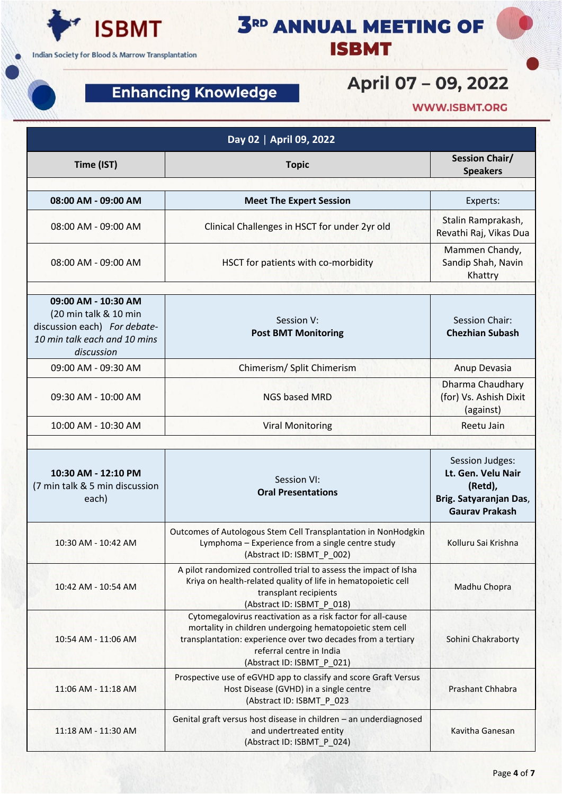

## **Enhancing Knowledge**

|  | <b>3RD ANNUAL MEETING OF</b> |  |
|--|------------------------------|--|
|  | <b>ISBMT</b>                 |  |

# April 07 - 09, 2022

**WWW.ISBMT.ORG** 

| Day 02   April 09, 2022                                                                                                    |                                                                                                                                                                                                                                                   |                                                                                                     |
|----------------------------------------------------------------------------------------------------------------------------|---------------------------------------------------------------------------------------------------------------------------------------------------------------------------------------------------------------------------------------------------|-----------------------------------------------------------------------------------------------------|
| Time (IST)                                                                                                                 | <b>Topic</b>                                                                                                                                                                                                                                      | <b>Session Chair/</b><br><b>Speakers</b>                                                            |
| 08:00 AM - 09:00 AM                                                                                                        | <b>Meet The Expert Session</b>                                                                                                                                                                                                                    | Experts:                                                                                            |
| 08:00 AM - 09:00 AM                                                                                                        | Clinical Challenges in HSCT for under 2yr old                                                                                                                                                                                                     | Stalin Ramprakash,<br>Revathi Raj, Vikas Dua                                                        |
| 08:00 AM - 09:00 AM                                                                                                        | HSCT for patients with co-morbidity                                                                                                                                                                                                               | Mammen Chandy,<br>Sandip Shah, Navin<br>Khattry                                                     |
| 09:00 AM - 10:30 AM<br>(20 min talk & 10 min<br>discussion each) For debate-<br>10 min talk each and 10 mins<br>discussion | Session V:<br><b>Post BMT Monitoring</b>                                                                                                                                                                                                          | <b>Session Chair:</b><br><b>Chezhian Subash</b>                                                     |
| 09:00 AM - 09:30 AM                                                                                                        | Chimerism/ Split Chimerism                                                                                                                                                                                                                        | Anup Devasia                                                                                        |
| 09:30 AM - 10:00 AM                                                                                                        | <b>NGS based MRD</b>                                                                                                                                                                                                                              | <b>Dharma Chaudhary</b><br>(for) Vs. Ashish Dixit<br>(against)                                      |
| 10:00 AM - 10:30 AM                                                                                                        | <b>Viral Monitoring</b>                                                                                                                                                                                                                           | Reetu Jain                                                                                          |
| 10:30 AM - 12:10 PM<br>(7 min talk & 5 min discussion<br>each)                                                             | Session VI:<br><b>Oral Presentations</b>                                                                                                                                                                                                          | Session Judges:<br>Lt. Gen. Velu Nair<br>(Retd),<br>Brig. Satyaranjan Das,<br><b>Gaurav Prakash</b> |
| 10:30 AM - 10:42 AM                                                                                                        | Outcomes of Autologous Stem Cell Transplantation in NonHodgkin<br>Lymphoma - Experience from a single centre study<br>(Abstract ID: ISBMT_P_002)                                                                                                  | Kolluru Sai Krishna                                                                                 |
| 10:42 AM - 10:54 AM                                                                                                        | A pilot randomized controlled trial to assess the impact of Isha<br>Kriya on health-related quality of life in hematopoietic cell<br>transplant recipients<br>(Abstract ID: ISBMT_P_018)                                                          | Madhu Chopra                                                                                        |
| 10:54 AM - 11:06 AM                                                                                                        | Cytomegalovirus reactivation as a risk factor for all-cause<br>mortality in children undergoing hematopoietic stem cell<br>transplantation: experience over two decades from a tertiary<br>referral centre in India<br>(Abstract ID: ISBMT_P_021) | Sohini Chakraborty                                                                                  |
| 11:06 AM - 11:18 AM                                                                                                        | Prospective use of eGVHD app to classify and score Graft Versus<br>Host Disease (GVHD) in a single centre<br>(Abstract ID: ISBMT_P_023                                                                                                            | Prashant Chhabra                                                                                    |
| 11:18 AM - 11:30 AM                                                                                                        | Genital graft versus host disease in children - an underdiagnosed<br>and undertreated entity<br>(Abstract ID: ISBMT_P_024)                                                                                                                        | Kavitha Ganesan                                                                                     |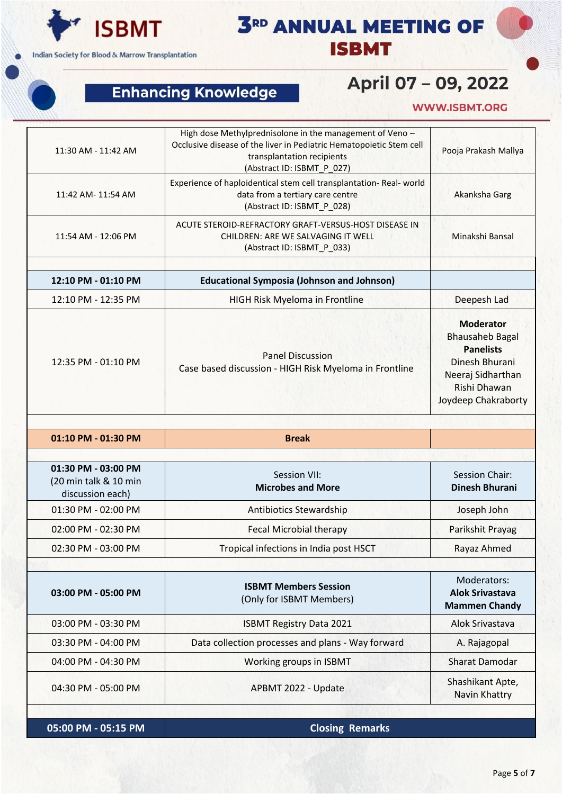

**3RD ANNUAL MEETING OF ISBMT** 

## **Enhancing Knowledge**

## April 07 - 09, 2022

#### **WWW.ISBMT.ORG**

| 11:30 AM - 11:42 AM                                              | High dose Methylprednisolone in the management of Veno -<br>Occlusive disease of the liver in Pediatric Hematopoietic Stem cell<br>transplantation recipients<br>(Abstract ID: ISBMT_P_027) | Pooja Prakash Mallya                                                                                                                         |
|------------------------------------------------------------------|---------------------------------------------------------------------------------------------------------------------------------------------------------------------------------------------|----------------------------------------------------------------------------------------------------------------------------------------------|
| 11:42 AM- 11:54 AM                                               | Experience of haploidentical stem cell transplantation-Real-world<br>data from a tertiary care centre<br>(Abstract ID: ISBMT_P_028)                                                         | Akanksha Garg                                                                                                                                |
| 11:54 AM - 12:06 PM                                              | ACUTE STEROID-REFRACTORY GRAFT-VERSUS-HOST DISEASE IN<br>CHILDREN: ARE WE SALVAGING IT WELL<br>(Abstract ID: ISBMT_P_033)                                                                   | Minakshi Bansal                                                                                                                              |
| 12:10 PM - 01:10 PM                                              | <b>Educational Symposia (Johnson and Johnson)</b>                                                                                                                                           |                                                                                                                                              |
| 12:10 PM - 12:35 PM                                              | HIGH Risk Myeloma in Frontline                                                                                                                                                              | Deepesh Lad                                                                                                                                  |
| 12:35 PM - 01:10 PM                                              | <b>Panel Discussion</b><br>Case based discussion - HIGH Risk Myeloma in Frontline                                                                                                           | <b>Moderator</b><br><b>Bhausaheb Bagal</b><br><b>Panelists</b><br>Dinesh Bhurani<br>Neeraj Sidharthan<br>Rishi Dhawan<br>Joydeep Chakraborty |
| 01:10 PM - 01:30 PM                                              | <b>Break</b>                                                                                                                                                                                |                                                                                                                                              |
|                                                                  |                                                                                                                                                                                             |                                                                                                                                              |
|                                                                  |                                                                                                                                                                                             |                                                                                                                                              |
| 01:30 PM - 03:00 PM<br>(20 min talk & 10 min<br>discussion each) | Session VII:<br><b>Microbes and More</b>                                                                                                                                                    | <b>Session Chair:</b><br><b>Dinesh Bhurani</b>                                                                                               |
| 01:30 PM - 02:00 PM                                              | <b>Antibiotics Stewardship</b>                                                                                                                                                              | Joseph John                                                                                                                                  |
| 02:00 PM - 02:30 PM                                              | <b>Fecal Microbial therapy</b>                                                                                                                                                              | Parikshit Prayag                                                                                                                             |
| 02:30 PM - 03:00 PM                                              | Tropical infections in India post HSCT                                                                                                                                                      | Rayaz Ahmed                                                                                                                                  |
|                                                                  |                                                                                                                                                                                             |                                                                                                                                              |
| 03:00 PM - 05:00 PM                                              | <b>ISBMT Members Session</b><br>(Only for ISBMT Members)                                                                                                                                    | Moderators:<br><b>Alok Srivastava</b><br><b>Mammen Chandy</b>                                                                                |
| 03:00 PM - 03:30 PM                                              | <b>ISBMT Registry Data 2021</b>                                                                                                                                                             | Alok Srivastava                                                                                                                              |
| 03:30 PM - 04:00 PM                                              | Data collection processes and plans - Way forward                                                                                                                                           | A. Rajagopal                                                                                                                                 |
| 04:00 PM - 04:30 PM                                              | Working groups in ISBMT                                                                                                                                                                     | Sharat Damodar                                                                                                                               |

**05:00 PM - 05:15 PM Closing Remarks**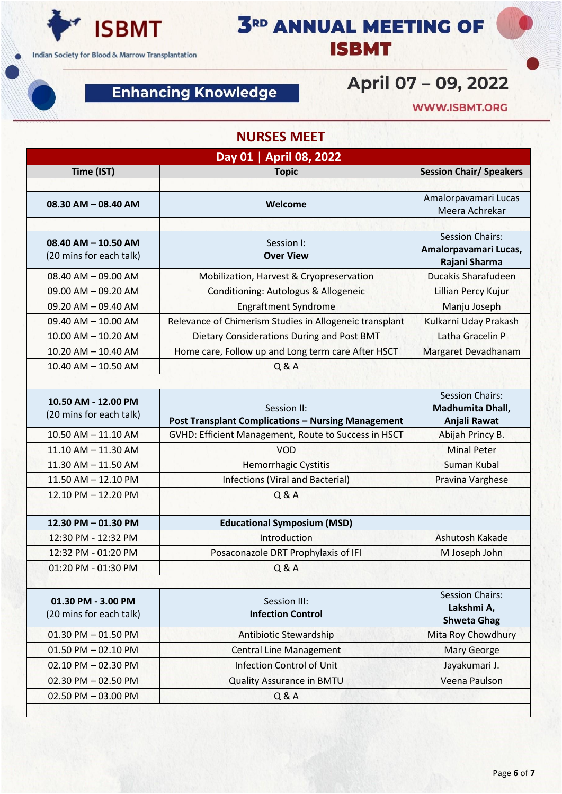

## **Enhancing Knowledge**

# April 07 - 09, 2022

**3RD ANNUAL MEETING OF** 

**ISBMT** 

**WWW.ISBMT.ORG** 

#### **NURSES MEET**

| Time (IST)<br><b>Topic</b><br>08.30 AM - 08.40 AM<br>Welcome<br>$08.40$ AM $- 10.50$ AM<br>Session I:<br>(20 mins for each talk)<br><b>Over View</b><br>08.40 AM - 09.00 AM<br>Mobilization, Harvest & Cryopreservation<br>09.00 AM - 09.20 AM<br>Conditioning: Autologus & Allogeneic<br><b>Engraftment Syndrome</b><br>09.20 AM - 09.40 AM<br>09.40 AM - 10.00 AM<br>Relevance of Chimerism Studies in Allogeneic transplant<br>Dietary Considerations During and Post BMT<br>10.00 AM - 10.20 AM | <b>Session Chair/ Speakers</b><br>Amalorpavamari Lucas<br>Meera Achrekar<br><b>Session Chairs:</b><br>Amalorpavamari Lucas,<br>Rajani Sharma<br>Ducakis Sharafudeen<br>Lillian Percy Kujur<br>Manju Joseph |
|-----------------------------------------------------------------------------------------------------------------------------------------------------------------------------------------------------------------------------------------------------------------------------------------------------------------------------------------------------------------------------------------------------------------------------------------------------------------------------------------------------|------------------------------------------------------------------------------------------------------------------------------------------------------------------------------------------------------------|
|                                                                                                                                                                                                                                                                                                                                                                                                                                                                                                     |                                                                                                                                                                                                            |
|                                                                                                                                                                                                                                                                                                                                                                                                                                                                                                     |                                                                                                                                                                                                            |
|                                                                                                                                                                                                                                                                                                                                                                                                                                                                                                     |                                                                                                                                                                                                            |
|                                                                                                                                                                                                                                                                                                                                                                                                                                                                                                     |                                                                                                                                                                                                            |
|                                                                                                                                                                                                                                                                                                                                                                                                                                                                                                     |                                                                                                                                                                                                            |
|                                                                                                                                                                                                                                                                                                                                                                                                                                                                                                     |                                                                                                                                                                                                            |
|                                                                                                                                                                                                                                                                                                                                                                                                                                                                                                     |                                                                                                                                                                                                            |
|                                                                                                                                                                                                                                                                                                                                                                                                                                                                                                     |                                                                                                                                                                                                            |
|                                                                                                                                                                                                                                                                                                                                                                                                                                                                                                     | Kulkarni Uday Prakash                                                                                                                                                                                      |
|                                                                                                                                                                                                                                                                                                                                                                                                                                                                                                     | Latha Gracelin P                                                                                                                                                                                           |
| 10.20 AM - 10.40 AM<br>Home care, Follow up and Long term care After HSCT                                                                                                                                                                                                                                                                                                                                                                                                                           | Margaret Devadhanam                                                                                                                                                                                        |
| Q & A<br>10.40 AM - 10.50 AM                                                                                                                                                                                                                                                                                                                                                                                                                                                                        |                                                                                                                                                                                                            |
|                                                                                                                                                                                                                                                                                                                                                                                                                                                                                                     |                                                                                                                                                                                                            |
| 10.50 AM - 12.00 PM<br>Session II:<br>(20 mins for each talk)<br><b>Post Transplant Complications - Nursing Management</b>                                                                                                                                                                                                                                                                                                                                                                          | <b>Session Chairs:</b><br>Madhumita Dhall,<br>Anjali Rawat                                                                                                                                                 |
| 10.50 AM - 11.10 AM<br>GVHD: Efficient Management, Route to Success in HSCT                                                                                                                                                                                                                                                                                                                                                                                                                         | Abijah Princy B.                                                                                                                                                                                           |
| <b>VOD</b><br>11.10 AM - 11.30 AM                                                                                                                                                                                                                                                                                                                                                                                                                                                                   | <b>Minal Peter</b>                                                                                                                                                                                         |
| Hemorrhagic Cystitis<br>11.30 AM - 11.50 AM                                                                                                                                                                                                                                                                                                                                                                                                                                                         | <b>Suman Kubal</b>                                                                                                                                                                                         |
| <b>Infections (Viral and Bacterial)</b><br>11.50 AM - 12.10 PM                                                                                                                                                                                                                                                                                                                                                                                                                                      | Pravina Varghese                                                                                                                                                                                           |
| 12.10 PM - 12.20 PM<br>Q & A                                                                                                                                                                                                                                                                                                                                                                                                                                                                        |                                                                                                                                                                                                            |
| <b>Educational Symposium (MSD)</b><br>12.30 PM - 01.30 PM                                                                                                                                                                                                                                                                                                                                                                                                                                           |                                                                                                                                                                                                            |
| 12:30 PM - 12:32 PM<br>Introduction                                                                                                                                                                                                                                                                                                                                                                                                                                                                 | Ashutosh Kakade                                                                                                                                                                                            |
| Posaconazole DRT Prophylaxis of IFI<br>12:32 PM - 01:20 PM                                                                                                                                                                                                                                                                                                                                                                                                                                          | M Joseph John                                                                                                                                                                                              |
| 01:20 PM - 01:30 PM<br>Q & A                                                                                                                                                                                                                                                                                                                                                                                                                                                                        |                                                                                                                                                                                                            |
|                                                                                                                                                                                                                                                                                                                                                                                                                                                                                                     |                                                                                                                                                                                                            |
| 01.30 PM - 3.00 PM<br>Session III:<br><b>Infection Control</b><br>(20 mins for each talk)                                                                                                                                                                                                                                                                                                                                                                                                           | <b>Session Chairs:</b><br>Lakshmi A,<br><b>Shweta Ghag</b>                                                                                                                                                 |
| 01.30 PM $-$ 01.50 PM<br>Antibiotic Stewardship                                                                                                                                                                                                                                                                                                                                                                                                                                                     | Mita Roy Chowdhury                                                                                                                                                                                         |
| 01.50 PM - 02.10 PM<br><b>Central Line Management</b>                                                                                                                                                                                                                                                                                                                                                                                                                                               | <b>Mary George</b>                                                                                                                                                                                         |
| <b>Infection Control of Unit</b><br>02.10 PM - 02.30 PM                                                                                                                                                                                                                                                                                                                                                                                                                                             | Jayakumari J.                                                                                                                                                                                              |
| 02.30 PM - 02.50 PM<br><b>Quality Assurance in BMTU</b>                                                                                                                                                                                                                                                                                                                                                                                                                                             | Veena Paulson                                                                                                                                                                                              |
| 02.50 PM - 03.00 PM<br>Q & A                                                                                                                                                                                                                                                                                                                                                                                                                                                                        |                                                                                                                                                                                                            |